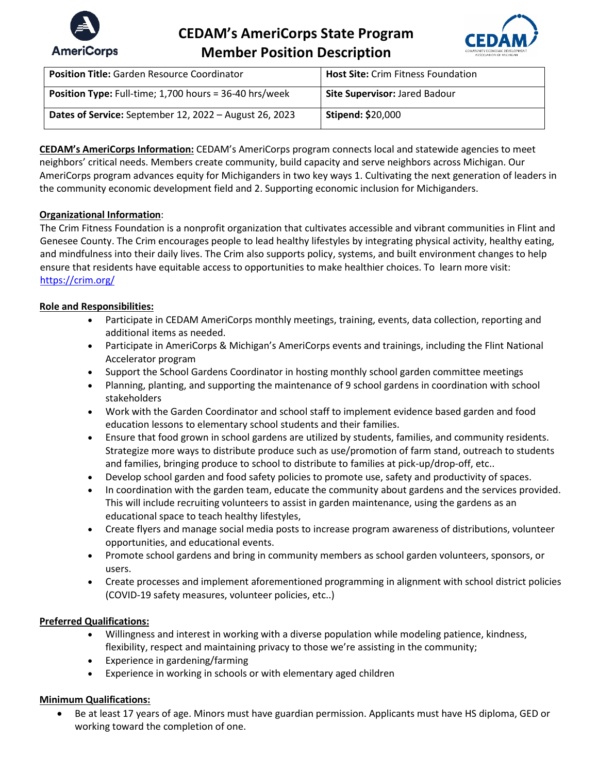

# **CEDAM's AmeriCorps State Program Member Position Description**



| <b>Position Title: Garden Resource Coordinator</b>            | <b>Host Site: Crim Fitness Foundation</b> |
|---------------------------------------------------------------|-------------------------------------------|
| <b>Position Type:</b> Full-time; 1,700 hours = 36-40 hrs/week | <b>Site Supervisor: Jared Badour</b>      |
| Dates of Service: September 12, 2022 - August 26, 2023        | <b>Stipend: \$20,000</b>                  |

**CEDAM's AmeriCorps Information:** CEDAM's AmeriCorps program connects local and statewide agencies to meet neighbors' critical needs. Members create community, build capacity and serve neighbors across Michigan. Our AmeriCorps program advances equity for Michiganders in two key ways 1. Cultivating the next generation of leaders in the community economic development field and 2. Supporting economic inclusion for Michiganders.

## **Organizational Information**:

The Crim Fitness Foundation is a nonprofit organization that cultivates accessible and vibrant communities in Flint and Genesee County. The Crim encourages people to lead healthy lifestyles by integrating physical activity, healthy eating, and mindfulness into their daily lives. The Crim also supports policy, systems, and built environment changes to help ensure that residents have equitable access to opportunities to make healthier choices. To learn more visit: <https://crim.org/>

#### **Role and Responsibilities:**

- Participate in CEDAM AmeriCorps monthly meetings, training, events, data collection, reporting and additional items as needed.
- Participate in AmeriCorps & Michigan's AmeriCorps events and trainings, including the Flint National Accelerator program
- Support the School Gardens Coordinator in hosting monthly school garden committee meetings
- Planning, planting, and supporting the maintenance of 9 school gardens in coordination with school stakeholders
- Work with the Garden Coordinator and school staff to implement evidence based garden and food education lessons to elementary school students and their families.
- Ensure that food grown in school gardens are utilized by students, families, and community residents. Strategize more ways to distribute produce such as use/promotion of farm stand, outreach to students and families, bringing produce to school to distribute to families at pick-up/drop-off, etc..
- Develop school garden and food safety policies to promote use, safety and productivity of spaces.
- In coordination with the garden team, educate the community about gardens and the services provided. This will include recruiting volunteers to assist in garden maintenance, using the gardens as an educational space to teach healthy lifestyles,
- Create flyers and manage social media posts to increase program awareness of distributions, volunteer opportunities, and educational events.
- Promote school gardens and bring in community members as school garden volunteers, sponsors, or users.
- Create processes and implement aforementioned programming in alignment with school district policies (COVID-19 safety measures, volunteer policies, etc..)

#### **Preferred Qualifications:**

- Willingness and interest in working with a diverse population while modeling patience, kindness, flexibility, respect and maintaining privacy to those we're assisting in the community;
- Experience in gardening/farming
- Experience in working in schools or with elementary aged children

#### **Minimum Qualifications:**

• Be at least 17 years of age. Minors must have guardian permission. Applicants must have HS diploma, GED or working toward the completion of one.